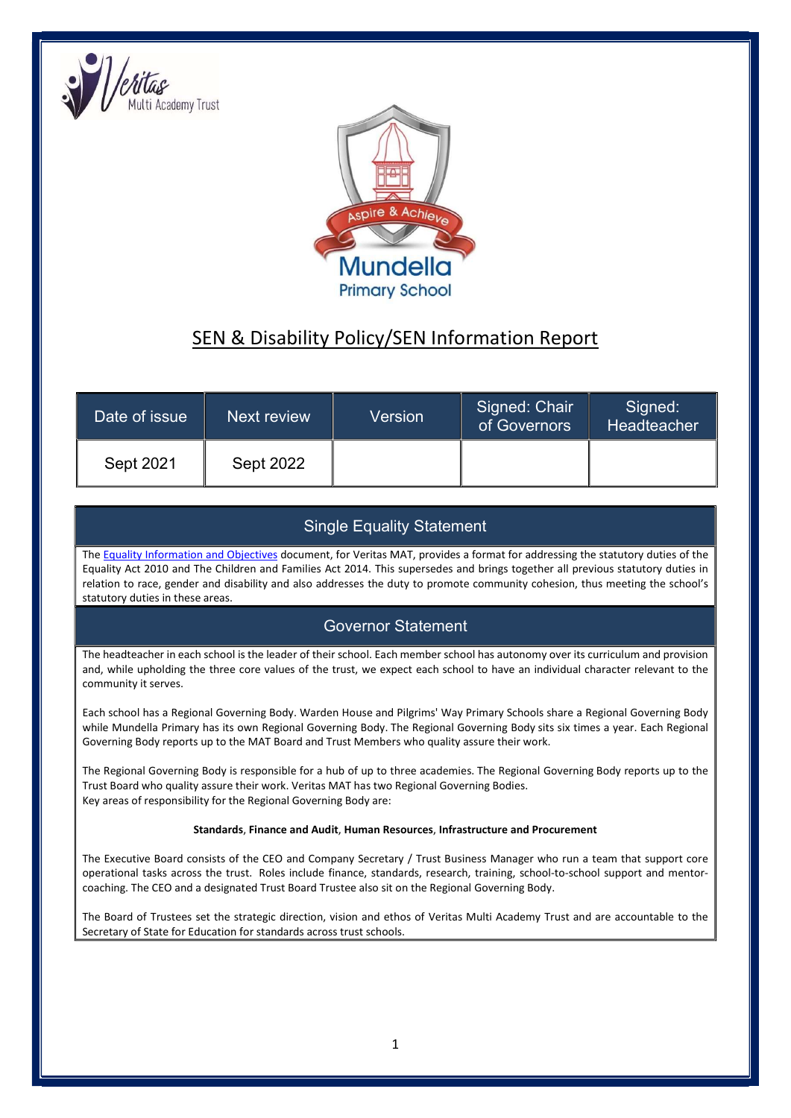



# SEN & Disability Policy/SEN Information Report

| Date of issue <b>\</b> | Next review      | Version | Signed: Chair<br>of Governors | Signed:<br>Headteacher |
|------------------------|------------------|---------|-------------------------------|------------------------|
| Sept 2021              | <b>Sept 2022</b> |         |                               |                        |

#### Single Equality Statement

The Equality Information and Objectives document, for Veritas MAT, provides a format for addressing the statutory duties of the Equality Act 2010 and The Children and Families Act 2014. This supersedes and brings together all previous statutory duties in relation to race, gender and disability and also addresses the duty to promote community cohesion, thus meeting the school's statutory duties in these areas.

#### Governor Statement

The headteacher in each school is the leader of their school. Each member school has autonomy over its curriculum and provision and, while upholding the three core values of the trust, we expect each school to have an individual character relevant to the community it serves.

Each school has a Regional Governing Body. Warden House and Pilgrims' Way Primary Schools share a Regional Governing Body while Mundella Primary has its own Regional Governing Body. The Regional Governing Body sits six times a year. Each Regional Governing Body reports up to the MAT Board and Trust Members who quality assure their work.

The Regional Governing Body is responsible for a hub of up to three academies. The Regional Governing Body reports up to the Trust Board who quality assure their work. Veritas MAT has two Regional Governing Bodies. Key areas of responsibility for the Regional Governing Body are:

#### Standards, Finance and Audit, Human Resources, Infrastructure and Procurement

The Executive Board consists of the CEO and Company Secretary / Trust Business Manager who run a team that support core operational tasks across the trust. Roles include finance, standards, research, training, school-to-school support and mentorcoaching. The CEO and a designated Trust Board Trustee also sit on the Regional Governing Body.

The Board of Trustees set the strategic direction, vision and ethos of Veritas Multi Academy Trust and are accountable to the Secretary of State for Education for standards across trust schools.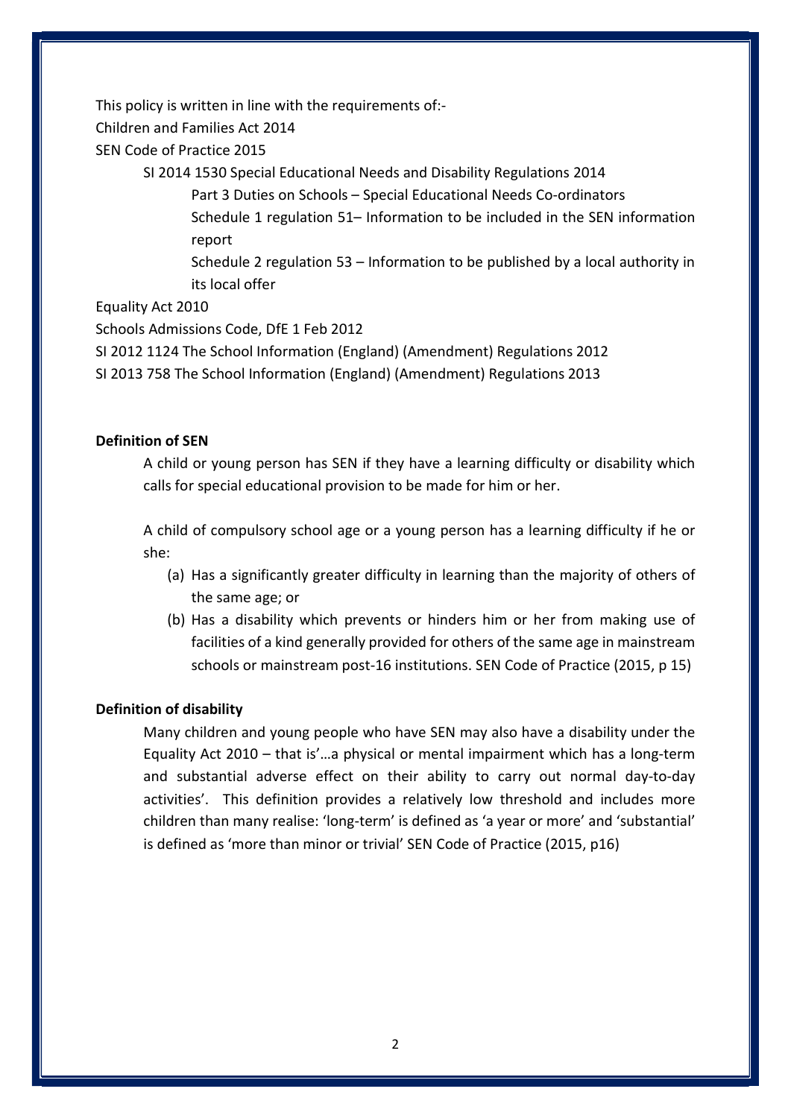This policy is written in line with the requirements of:-

Children and Families Act 2014

SEN Code of Practice 2015

SI 2014 1530 Special Educational Needs and Disability Regulations 2014

Part 3 Duties on Schools – Special Educational Needs Co-ordinators

Schedule 1 regulation 51– Information to be included in the SEN information report

Schedule 2 regulation 53 – Information to be published by a local authority in its local offer

Equality Act 2010

Schools Admissions Code, DfE 1 Feb 2012

SI 2012 1124 The School Information (England) (Amendment) Regulations 2012

SI 2013 758 The School Information (England) (Amendment) Regulations 2013

#### Definition of SEN

A child or young person has SEN if they have a learning difficulty or disability which calls for special educational provision to be made for him or her.

A child of compulsory school age or a young person has a learning difficulty if he or she:

- (a) Has a significantly greater difficulty in learning than the majority of others of the same age; or
- (b) Has a disability which prevents or hinders him or her from making use of facilities of a kind generally provided for others of the same age in mainstream schools or mainstream post-16 institutions. SEN Code of Practice (2015, p 15)

#### Definition of disability

Many children and young people who have SEN may also have a disability under the Equality Act 2010 – that is'…a physical or mental impairment which has a long-term and substantial adverse effect on their ability to carry out normal day-to-day activities'. This definition provides a relatively low threshold and includes more children than many realise: 'long-term' is defined as 'a year or more' and 'substantial' is defined as 'more than minor or trivial' SEN Code of Practice (2015, p16)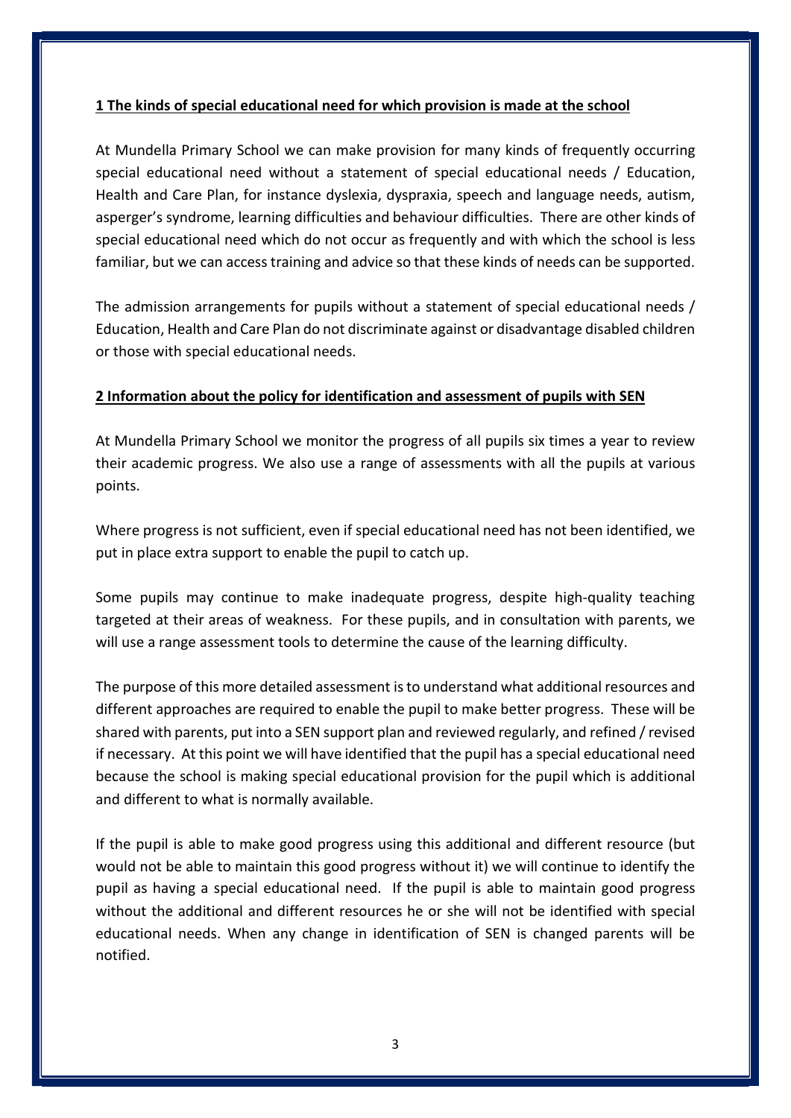#### 1 The kinds of special educational need for which provision is made at the school

At Mundella Primary School we can make provision for many kinds of frequently occurring special educational need without a statement of special educational needs / Education, Health and Care Plan, for instance dyslexia, dyspraxia, speech and language needs, autism, asperger's syndrome, learning difficulties and behaviour difficulties. There are other kinds of special educational need which do not occur as frequently and with which the school is less familiar, but we can access training and advice so that these kinds of needs can be supported.

The admission arrangements for pupils without a statement of special educational needs / Education, Health and Care Plan do not discriminate against or disadvantage disabled children or those with special educational needs.

#### 2 Information about the policy for identification and assessment of pupils with SEN

At Mundella Primary School we monitor the progress of all pupils six times a year to review their academic progress. We also use a range of assessments with all the pupils at various points.

Where progress is not sufficient, even if special educational need has not been identified, we put in place extra support to enable the pupil to catch up.

Some pupils may continue to make inadequate progress, despite high-quality teaching targeted at their areas of weakness. For these pupils, and in consultation with parents, we will use a range assessment tools to determine the cause of the learning difficulty.

The purpose of this more detailed assessment is to understand what additional resources and different approaches are required to enable the pupil to make better progress. These will be shared with parents, put into a SEN support plan and reviewed regularly, and refined / revised if necessary. At this point we will have identified that the pupil has a special educational need because the school is making special educational provision for the pupil which is additional and different to what is normally available.

If the pupil is able to make good progress using this additional and different resource (but would not be able to maintain this good progress without it) we will continue to identify the pupil as having a special educational need. If the pupil is able to maintain good progress without the additional and different resources he or she will not be identified with special educational needs. When any change in identification of SEN is changed parents will be notified.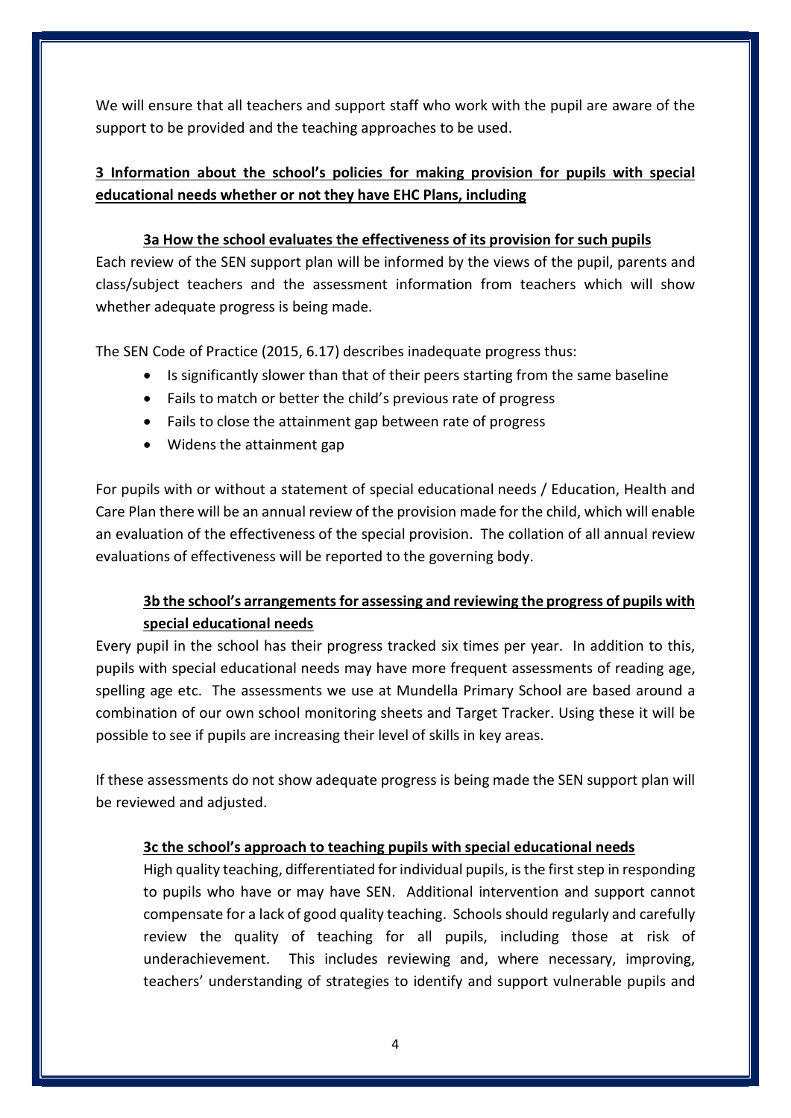We will ensure that all teachers and support staff who work with the pupil are aware of the support to be provided and the teaching approaches to be used.

### 3 Information about the school's policies for making provision for pupils with special educational needs whether or not they have EHC Plans, including

#### 3a How the school evaluates the effectiveness of its provision for such pupils

Each review of the SEN support plan will be informed by the views of the pupil, parents and class/subject teachers and the assessment information from teachers which will show whether adequate progress is being made.

The SEN Code of Practice (2015, 6.17) describes inadequate progress thus:

- Is significantly slower than that of their peers starting from the same baseline
- Fails to match or better the child's previous rate of progress
- Fails to close the attainment gap between rate of progress
- Widens the attainment gap

For pupils with or without a statement of special educational needs / Education, Health and Care Plan there will be an annual review of the provision made for the child, which will enable an evaluation of the effectiveness of the special provision. The collation of all annual review evaluations of effectiveness will be reported to the governing body.

### 3b the school's arrangements for assessing and reviewing the progress of pupils with special educational needs

Every pupil in the school has their progress tracked six times per year. In addition to this, pupils with special educational needs may have more frequent assessments of reading age, spelling age etc. The assessments we use at Mundella Primary School are based around a combination of our own school monitoring sheets and Target Tracker. Using these it will be possible to see if pupils are increasing their level of skills in key areas.

If these assessments do not show adequate progress is being made the SEN support plan will be reviewed and adjusted.

#### 3c the school's approach to teaching pupils with special educational needs

High quality teaching, differentiated for individual pupils, is the first step in responding to pupils who have or may have SEN. Additional intervention and support cannot compensate for a lack of good quality teaching. Schools should regularly and carefully review the quality of teaching for all pupils, including those at risk of underachievement. This includes reviewing and, where necessary, improving, teachers' understanding of strategies to identify and support vulnerable pupils and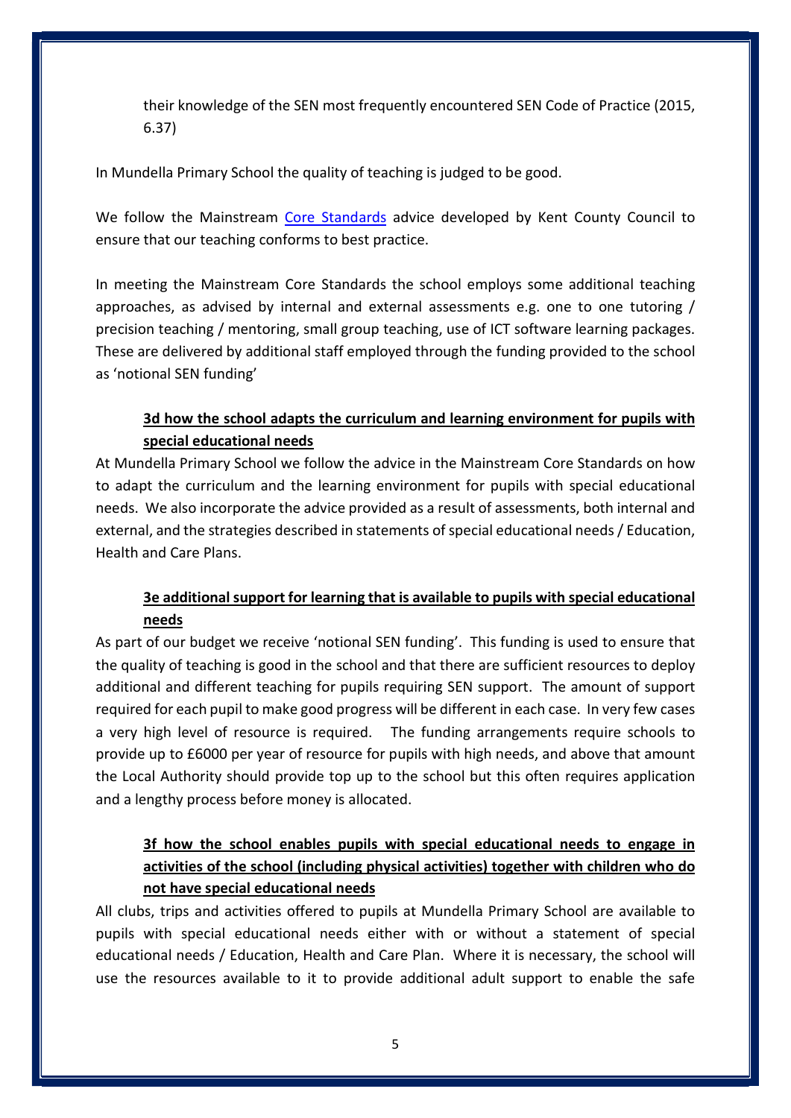their knowledge of the SEN most frequently encountered SEN Code of Practice (2015, 6.37)

In Mundella Primary School the quality of teaching is judged to be good.

We follow the Mainstream Core Standards advice developed by Kent County Council to ensure that our teaching conforms to best practice.

In meeting the Mainstream Core Standards the school employs some additional teaching approaches, as advised by internal and external assessments e.g. one to one tutoring / precision teaching / mentoring, small group teaching, use of ICT software learning packages. These are delivered by additional staff employed through the funding provided to the school as 'notional SEN funding'

#### 3d how the school adapts the curriculum and learning environment for pupils with special educational needs

At Mundella Primary School we follow the advice in the Mainstream Core Standards on how to adapt the curriculum and the learning environment for pupils with special educational needs. We also incorporate the advice provided as a result of assessments, both internal and external, and the strategies described in statements of special educational needs / Education, Health and Care Plans.

#### 3e additional support for learning that is available to pupils with special educational needs

As part of our budget we receive 'notional SEN funding'. This funding is used to ensure that the quality of teaching is good in the school and that there are sufficient resources to deploy additional and different teaching for pupils requiring SEN support. The amount of support required for each pupil to make good progress will be different in each case. In very few cases a very high level of resource is required. The funding arrangements require schools to provide up to £6000 per year of resource for pupils with high needs, and above that amount the Local Authority should provide top up to the school but this often requires application and a lengthy process before money is allocated.

### 3f how the school enables pupils with special educational needs to engage in activities of the school (including physical activities) together with children who do not have special educational needs

All clubs, trips and activities offered to pupils at Mundella Primary School are available to pupils with special educational needs either with or without a statement of special educational needs / Education, Health and Care Plan. Where it is necessary, the school will use the resources available to it to provide additional adult support to enable the safe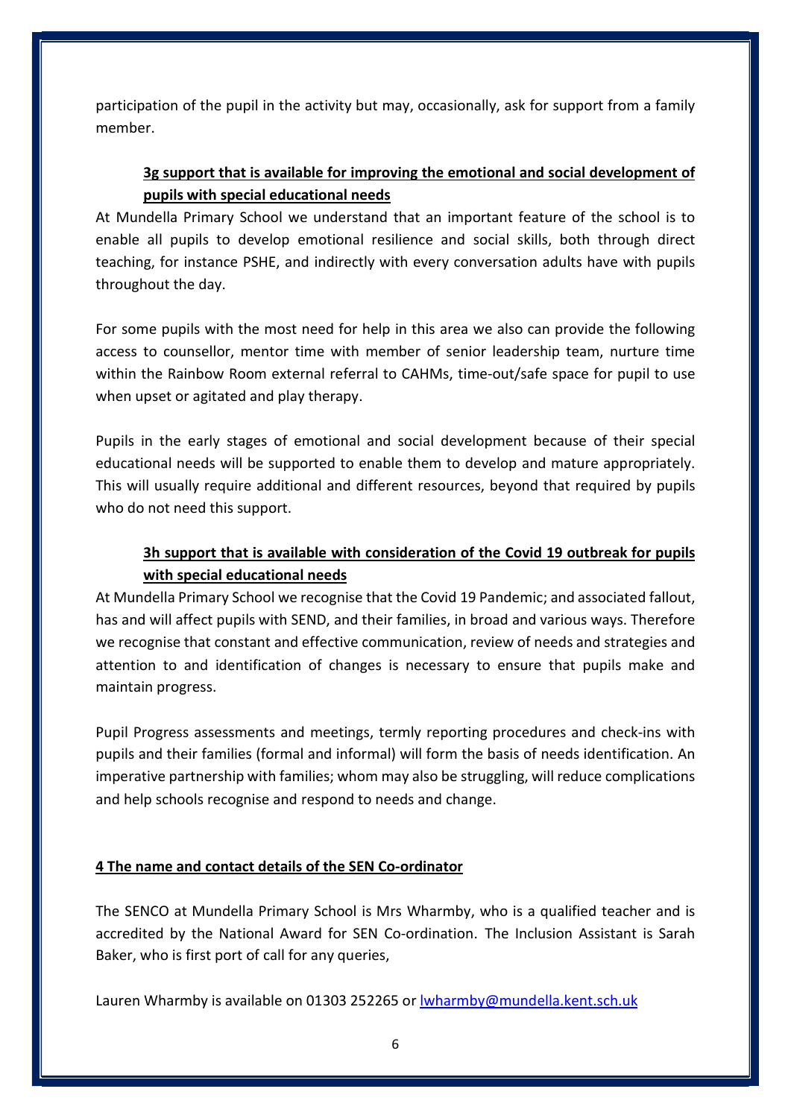participation of the pupil in the activity but may, occasionally, ask for support from a family member.

### 3g support that is available for improving the emotional and social development of pupils with special educational needs

At Mundella Primary School we understand that an important feature of the school is to enable all pupils to develop emotional resilience and social skills, both through direct teaching, for instance PSHE, and indirectly with every conversation adults have with pupils throughout the day.

For some pupils with the most need for help in this area we also can provide the following access to counsellor, mentor time with member of senior leadership team, nurture time within the Rainbow Room external referral to CAHMs, time-out/safe space for pupil to use when upset or agitated and play therapy.

Pupils in the early stages of emotional and social development because of their special educational needs will be supported to enable them to develop and mature appropriately. This will usually require additional and different resources, beyond that required by pupils who do not need this support.

### 3h support that is available with consideration of the Covid 19 outbreak for pupils with special educational needs

At Mundella Primary School we recognise that the Covid 19 Pandemic; and associated fallout, has and will affect pupils with SEND, and their families, in broad and various ways. Therefore we recognise that constant and effective communication, review of needs and strategies and attention to and identification of changes is necessary to ensure that pupils make and maintain progress.

Pupil Progress assessments and meetings, termly reporting procedures and check-ins with pupils and their families (formal and informal) will form the basis of needs identification. An imperative partnership with families; whom may also be struggling, will reduce complications and help schools recognise and respond to needs and change.

#### 4 The name and contact details of the SEN Co-ordinator

The SENCO at Mundella Primary School is Mrs Wharmby, who is a qualified teacher and is accredited by the National Award for SEN Co-ordination. The Inclusion Assistant is Sarah Baker, who is first port of call for any queries,

Lauren Wharmby is available on 01303 252265 or lwharmby@mundella.kent.sch.uk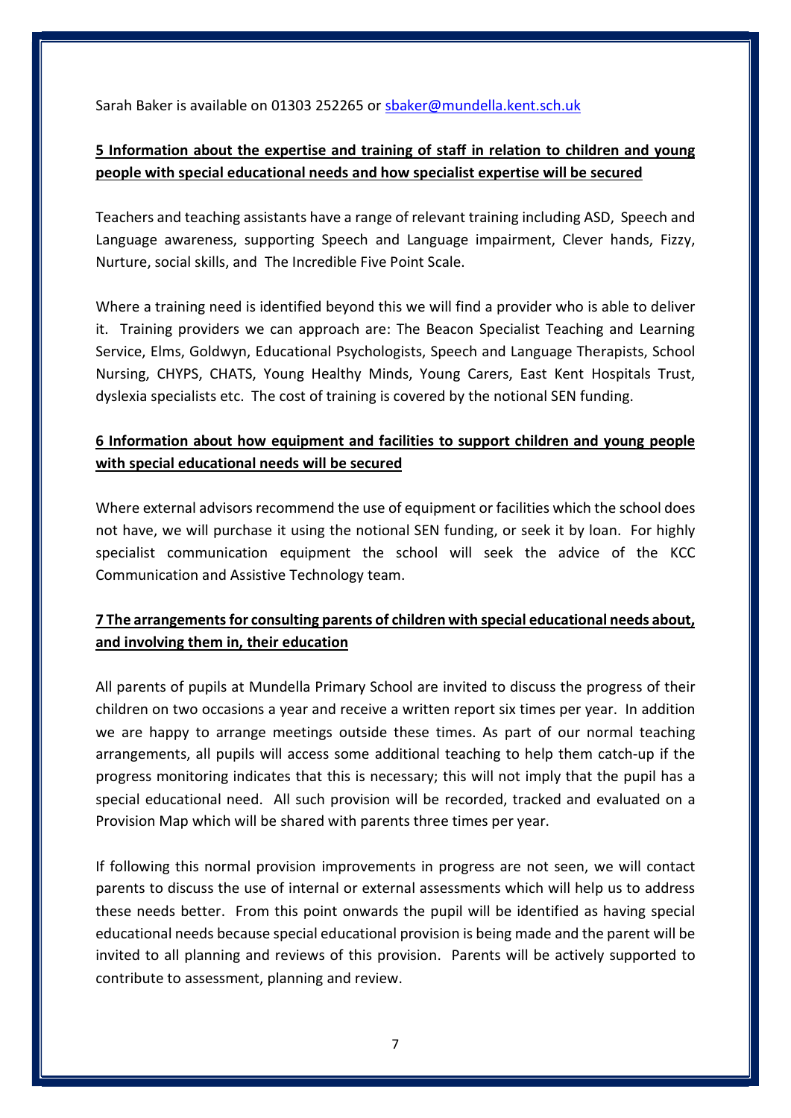Sarah Baker is available on 01303 252265 or sbaker@mundella.kent.sch.uk

### 5 Information about the expertise and training of staff in relation to children and young people with special educational needs and how specialist expertise will be secured

Teachers and teaching assistants have a range of relevant training including ASD, Speech and Language awareness, supporting Speech and Language impairment, Clever hands, Fizzy, Nurture, social skills, and The Incredible Five Point Scale.

Where a training need is identified beyond this we will find a provider who is able to deliver it. Training providers we can approach are: The Beacon Specialist Teaching and Learning Service, Elms, Goldwyn, Educational Psychologists, Speech and Language Therapists, School Nursing, CHYPS, CHATS, Young Healthy Minds, Young Carers, East Kent Hospitals Trust, dyslexia specialists etc. The cost of training is covered by the notional SEN funding.

### 6 Information about how equipment and facilities to support children and young people with special educational needs will be secured

Where external advisors recommend the use of equipment or facilities which the school does not have, we will purchase it using the notional SEN funding, or seek it by loan. For highly specialist communication equipment the school will seek the advice of the KCC Communication and Assistive Technology team.

### 7 The arrangements for consulting parents of children with special educational needs about, and involving them in, their education

All parents of pupils at Mundella Primary School are invited to discuss the progress of their children on two occasions a year and receive a written report six times per year. In addition we are happy to arrange meetings outside these times. As part of our normal teaching arrangements, all pupils will access some additional teaching to help them catch-up if the progress monitoring indicates that this is necessary; this will not imply that the pupil has a special educational need. All such provision will be recorded, tracked and evaluated on a Provision Map which will be shared with parents three times per year.

If following this normal provision improvements in progress are not seen, we will contact parents to discuss the use of internal or external assessments which will help us to address these needs better. From this point onwards the pupil will be identified as having special educational needs because special educational provision is being made and the parent will be invited to all planning and reviews of this provision. Parents will be actively supported to contribute to assessment, planning and review.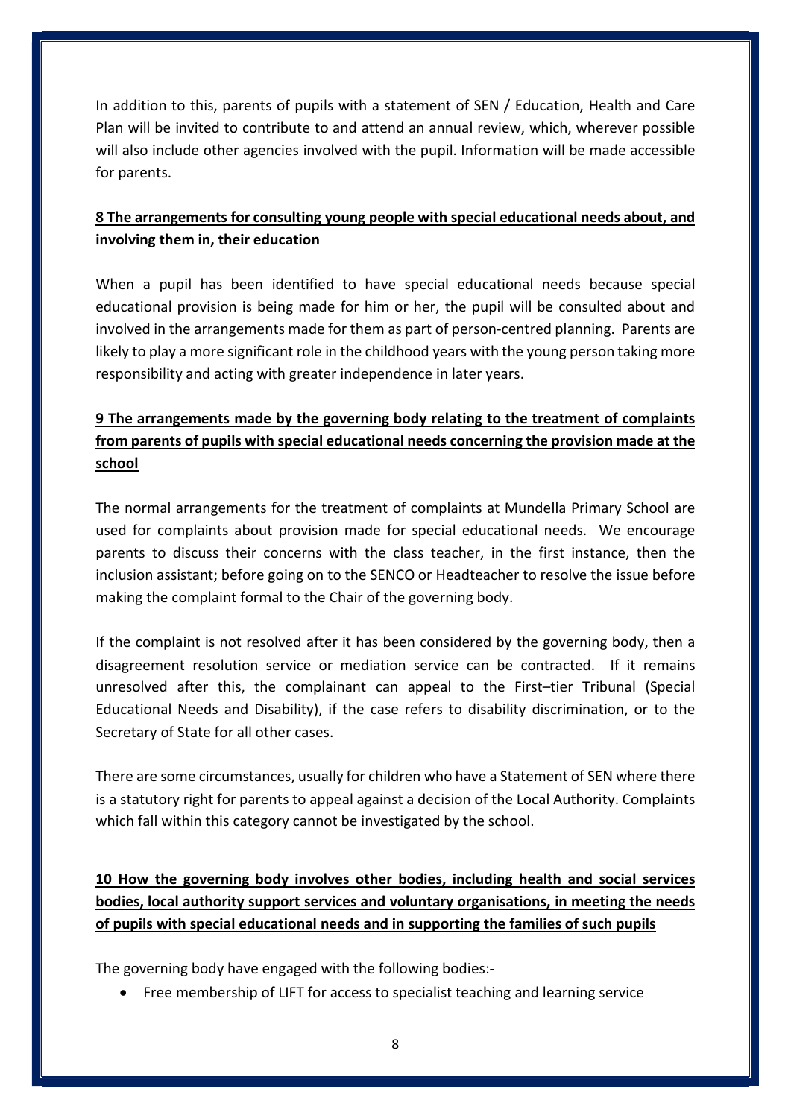In addition to this, parents of pupils with a statement of SEN / Education, Health and Care Plan will be invited to contribute to and attend an annual review, which, wherever possible will also include other agencies involved with the pupil. Information will be made accessible for parents.

### 8 The arrangements for consulting young people with special educational needs about, and involving them in, their education

When a pupil has been identified to have special educational needs because special educational provision is being made for him or her, the pupil will be consulted about and involved in the arrangements made for them as part of person-centred planning. Parents are likely to play a more significant role in the childhood years with the young person taking more responsibility and acting with greater independence in later years.

## 9 The arrangements made by the governing body relating to the treatment of complaints from parents of pupils with special educational needs concerning the provision made at the school

The normal arrangements for the treatment of complaints at Mundella Primary School are used for complaints about provision made for special educational needs. We encourage parents to discuss their concerns with the class teacher, in the first instance, then the inclusion assistant; before going on to the SENCO or Headteacher to resolve the issue before making the complaint formal to the Chair of the governing body.

If the complaint is not resolved after it has been considered by the governing body, then a disagreement resolution service or mediation service can be contracted. If it remains unresolved after this, the complainant can appeal to the First–tier Tribunal (Special Educational Needs and Disability), if the case refers to disability discrimination, or to the Secretary of State for all other cases.

There are some circumstances, usually for children who have a Statement of SEN where there is a statutory right for parents to appeal against a decision of the Local Authority. Complaints which fall within this category cannot be investigated by the school.

10 How the governing body involves other bodies, including health and social services bodies, local authority support services and voluntary organisations, in meeting the needs of pupils with special educational needs and in supporting the families of such pupils

The governing body have engaged with the following bodies:-

Free membership of LIFT for access to specialist teaching and learning service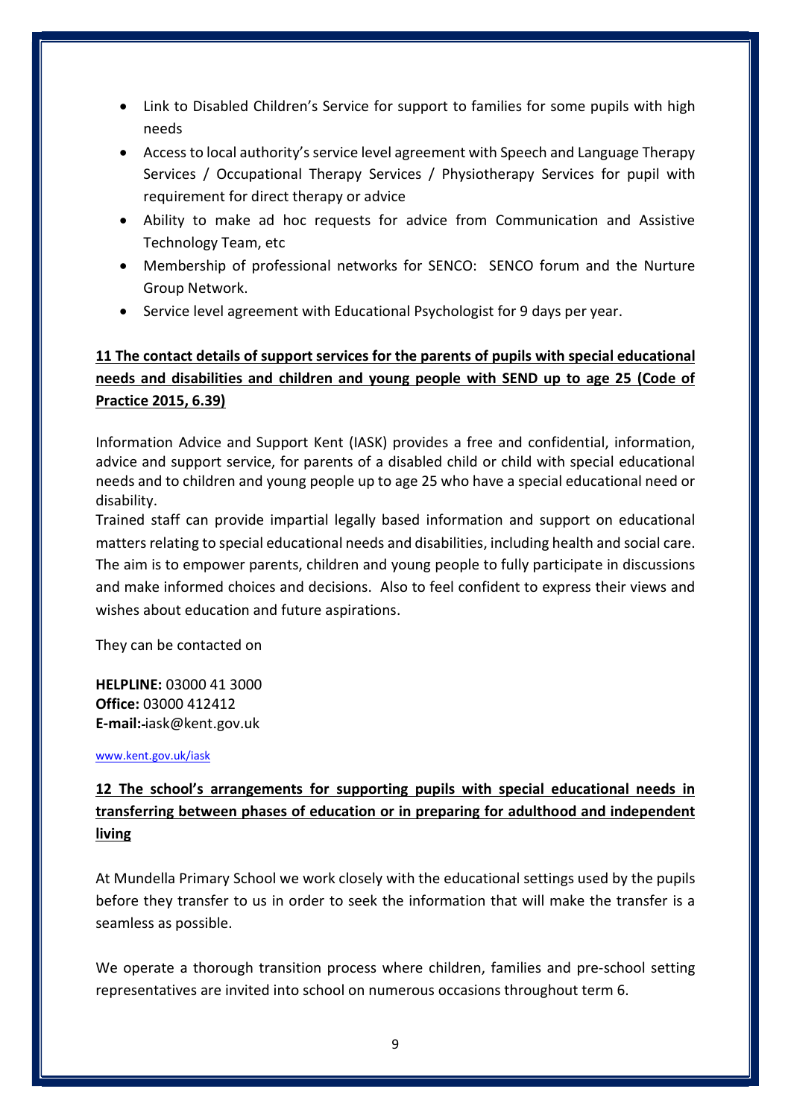- Link to Disabled Children's Service for support to families for some pupils with high needs
- Access to local authority's service level agreement with Speech and Language Therapy Services / Occupational Therapy Services / Physiotherapy Services for pupil with requirement for direct therapy or advice
- Ability to make ad hoc requests for advice from Communication and Assistive Technology Team, etc
- Membership of professional networks for SENCO: SENCO forum and the Nurture Group Network.
- Service level agreement with Educational Psychologist for 9 days per year.

### 11 The contact details of support services for the parents of pupils with special educational needs and disabilities and children and young people with SEND up to age 25 (Code of Practice 2015, 6.39)

Information Advice and Support Kent (IASK) provides a free and confidential, information, advice and support service, for parents of a disabled child or child with special educational needs and to children and young people up to age 25 who have a special educational need or disability.

Trained staff can provide impartial legally based information and support on educational matters relating to special educational needs and disabilities, including health and social care. The aim is to empower parents, children and young people to fully participate in discussions and make informed choices and decisions. Also to feel confident to express their views and wishes about education and future aspirations.

They can be contacted on

HELPLINE: 03000 41 3000 Office: 03000 412412 E-mail: iask@kent.gov.uk

www.kent.gov.uk/iask

## 12 The school's arrangements for supporting pupils with special educational needs in transferring between phases of education or in preparing for adulthood and independent living

At Mundella Primary School we work closely with the educational settings used by the pupils before they transfer to us in order to seek the information that will make the transfer is a seamless as possible.

We operate a thorough transition process where children, families and pre-school setting representatives are invited into school on numerous occasions throughout term 6.